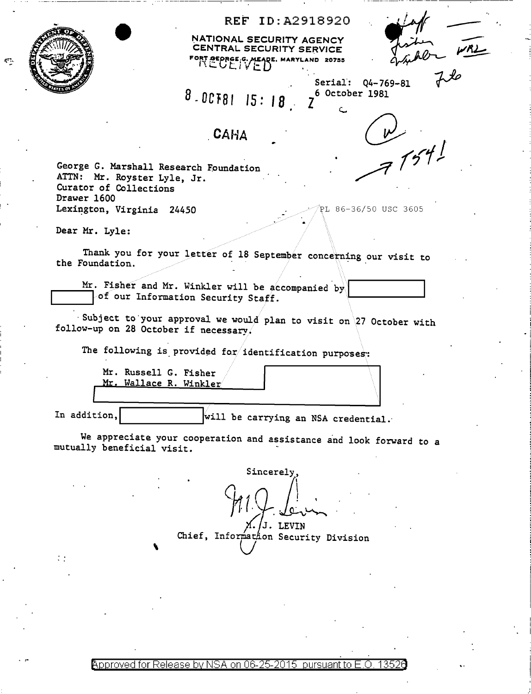

## REF ID:A2918920

NATIONAL SECURITY AGENCY CENTRAL SECURITY SERVICE  $\mathcal{F}$ OEDRGE<sub>i</sub>G, MEADE, MARYLAND 20755

Serial:  $Q4-769-81$ 

B.oc1a1 15: I *8* 

## **CAHA**

' • i '

z 6 October 1981

 $77541$ 

George G. Marshall Research Foundation ATTN: Mr. Royster Lyle, Jr. Curator of Collections Drawer 1600 Lexi~gton, Virginia 24450 ~L 86-36/50 USC 3605

Dear Mr. Lyle:

Thank you for your letter of 18 September concerning our visit to the Foundation.

Mr. Fisher and Mr. Winkler will be accompanied by L----....1~ of our Information Security Staff. .1.--\_\_\_\_\_ \_\_,

· Subject to your approval we would plan to visit on  $27$  October with follow-up on 28 October if necessary.

The following is provided for identification purposes:

Mr. Russell G. Fisher Mr. Wallace R. Winkler

÷.

In addition, L.l \_\_\_\_\_\_ \_.....lwill be carrying an NSA credential.·

•

We appreciate your cooperation and assistance and look forward to a mutually beneficial visit.

Chief, Sincerely, 911 Levin<br>11 J. LEVIN Chief, Informathon Security Division

@'pp roved for Release by NSA on 06-25-2015 pursuant to E .0. 1352a